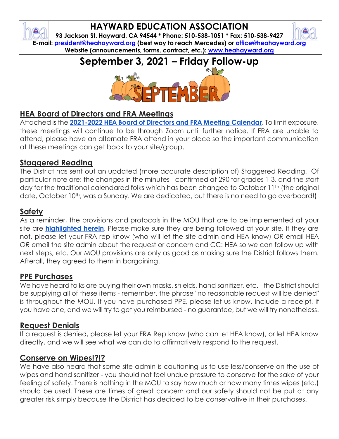# **HAYWARD EDUCATION ASSOCIATION**

**93 Jackson St. Hayward, CA 94544 \* Phone: 510-538-1051 \* Fax: 510-538-9427 E-mail: [president@heahayward.org](mailto:president@heahayward.org) (best way to reach Mercedes) or [office@heahayward.org](mailto:office@heahayward.org) Website (announcements, forms, contract, etc.): [www.heahayward.org](http://www.heahayward.org/)**

**September 3, 2021 – Friday Follow-up**



#### **HEA Board of Directors and FRA Meetings**

Attached is the **[2021-2022 HEA Board of Directors and FRA Meeting Calendar](https://drive.google.com/file/d/12u78a0F7176aHoWsFu2TfDZ2JSB6H9P0/view?usp=sharing)**. To limit exposure, these meetings will continue to be through Zoom until further notice. If FRA are unable to attend, please have an alternate FRA attend in your place so the important communication at these meetings can get back to your site/group.

#### **Staggered Reading**

The District has sent out an updated (more accurate description of) Staggered Reading. Of particular note are: the changes in the minutes - confirmed at 290 for grades 1-3, and the start day for the traditional calendared folks which has been changed to October 11<sup>th</sup> (the original date, October 10<sup>th</sup>, was a Sunday. We are dedicated, but there is no need to go overboard!)

## **Safety**

As a reminder, the provisions and protocols in the MOU that are to be implemented at your site are **[highlighted herein](https://drive.google.com/file/d/1Yoajzru7wsYkaj80qMRIuGYEXRaTS4xa/view?usp=sharing)**. Please make sure they are being followed at your site. If they are not, please let your FRA rep know (who will let the site admin and HEA know) *OR* email HEA *OR* email the site admin about the request or concern and CC: HEA so we can follow up with next steps, etc. Our MOU provisions are only as good as making sure the District follows them. Afterall, they agreed to them in bargaining.

#### **PPE Purchases**

We have heard folks are buying their own masks, shields, hand sanitizer, etc. - the District should be supplying all of these items - remember, the phrase "no reasonable request will be denied" is throughout the MOU. If you have purchased PPE, please let us know. Include a receipt, if you have one, and we will try to get you reimbursed - no guarantee, but we will try nonetheless.

#### **Request Denials**

If a request is denied, please let your FRA Rep know (who can let HEA know), or let HEA know directly, and we will see what we can do to affirmatively respond to the request.

#### **Conserve on Wipes!?!?**

We have also heard that some site admin is cautioning us to use less/conserve on the use of wipes and hand sanitizer - you should not feel undue pressure to conserve for the sake of your feeling of safety. There is nothing in the MOU to say how much or how many times wipes (etc.) should be used. These are times of great concern and our safety should not be put at any greater risk simply because the District has decided to be conservative in their purchases.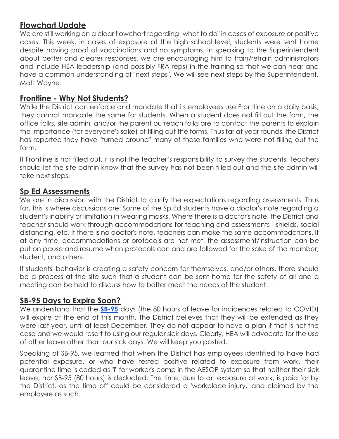#### **Flowchart Update**

We are still working on a clear flowchart regarding "what to do" in cases of exposure or positive cases. This week, in cases of exposure at the high school level, students were sent home despite having proof of vaccinations and no symptoms. In speaking to the Superintendent about better and clearer responses, we are encouraging him to train/retrain administrators and include HEA leadership (and possibly FRA reps) in the training so that we can hear and have a common understanding of "next steps". We will see next steps by the Superintendent, Matt Wayne.

#### **Frontline - Why Not Students?**

While the District can enforce and mandate that its employees use Frontline on a daily basis, they cannot mandate the same for students. When a student does not fill out the form, the office folks, site admin, and/or the parent outreach folks are to contact the parents to explain the importance (for everyone's sake) of filling out the forms. Thus far at year rounds, the District has reported they have "turned around" many of those families who were not filling out the form.

If Frontline is not filled out, it is not the teacher's responsibility to survey the students. Teachers should let the site admin know that the survey has not been filled out and the site admin will take next steps.

#### **Sp Ed Assessments**

We are in discussion with the District to clarify the expectations regarding assessments. Thus far, this is where discussions are: Some of the Sp Ed students have a doctor's note regarding a student's inability or limitation in wearing masks. Where there is a doctor's note, the District and teacher should work through accommodations for teaching and assessments - shields, social distancing, etc. If there is no doctor's note, teachers can make the same accommodations. If at any time, accommodations or protocols are not met, the assessment/instruction can be put on pause and resume when protocols can and are followed for the sake of the member, student, and others.

If students' behavior is creating a safety concern for themselves, and/or others, there should be a process at the site such that a student can be sent home for the safety of all and a meeting can be held to discuss how to better meet the needs of the student.

#### **SB-95 Days to Expire Soon?**

We understand that the **[SB-95](https://www.gov.ca.gov/2021/03/19/governor-newsom-signs-legislation-to-ensure-access-to-supplemental-paid-sick-leave-for-workers-impacted-by-the-pandemic/)** days (the 80 hours of leave for incidences related to COVID) will expire at the end of this month. The District believes that they will be extended as they were last year, until at least December. They do not appear to have a plan if that is not the case and we would resort to using our regular sick days. Clearly, HEA will advocate for the use of other leave other than our sick days. We will keep you posted.

Speaking of SB-95, we learned that when the District has employees identified to have had potential exposure, or who have tested positive related to exposure from work, their quarantine time is coded as "i" for worker's comp in the AESOP system so that neither their sick leave, nor SB-95 (80 hours) is deducted. The time, due to an exposure at work, is paid for by the District, as the time off could be considered a 'workplace injury,' and claimed by the employee as such.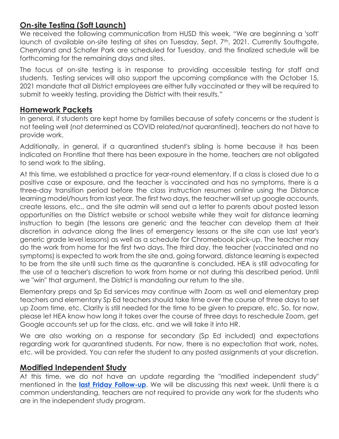### **On-site Testing (Soft Launch)**

We received the following communication from HUSD this week, "We are beginning a 'soft' launch of available on-site testing at sites on Tuesday, Sept. 7<sup>th</sup>, 2021. Currently Southgate, Cherryland and Schafer Park are scheduled for Tuesday, and the finalized schedule will be forthcoming for the remaining days and sites.

The focus of on-site testing is in response to providing accessible testing for staff and students. Testing services will also support the upcoming compliance with the October 15, 2021 mandate that all District employees are either fully vaccinated or they will be required to submit to weekly testing, providing the District with their results."

#### **Homework Packets**

In general, if students are kept home by families because of safety concerns or the student is not feeling well (not determined as COVID related/not quarantined), teachers do not have to provide work.

Additionally, in general, if a quarantined student's sibling is home because it has been indicated on Frontline that there has been exposure in the home, teachers are not obligated to send work to the sibling.

At this time, we established a practice for year-round elementary. If a class is closed due to a positive case or exposure, and the teacher is vaccinated and has no symptoms, there is a three-day transition period before the class instruction resumes online using the Distance learning model/hours from last year. The first two days, the teacher will set up google accounts, create lessons, etc., and the site admin will send out a letter to parents about posted lesson opportunities on the District website or school website while they wait for distance learning instruction to begin (the lessons are generic and the teacher can develop them at their discretion in advance along the lines of emergency lessons or the site can use last year's generic grade level lessons) as well as a schedule for Chromebook pick-up. The teacher may do the work from home for the first two days. The third day, the teacher (vaccinated and no symptoms) is expected to work from the site and, going forward, distance learning is expected to be from the site until such time as the quarantine is concluded. HEA is still advocating for the use of a teacher's discretion to work from home or not during this described period. Until we "win" that argument, the District is mandating our return to the site.

Elementary preps and Sp Ed services may continue with Zoom as well and elementary prep teachers and elementary Sp Ed teachers should take time over the course of three days to set up Zoom time, etc. Clarity is still needed for the time to be given to prepare, etc. So, for now, please let HEA know how long it takes over the course of three days to reschedule Zoom, get Google accounts set up for the class, etc. and we will take it into HR.

We are also working on a response for secondary (Sp Ed included) and expectations regarding work for quarantined students. For now, there is no expectation that work, notes, etc. will be provided. You can refer the student to any posted assignments at your discretion.

#### **Modified Independent Study**

At this time, we do not have an update regarding the "modified independent study" mentioned in the **[last Friday Follow-up](https://drive.google.com/file/d/1OfVpNyhoR6DABugu-2NPIibv4wK79P9V/view?usp=sharing)**. We will be discussing this next week. Until there is a common understanding, teachers are not required to provide any work for the students who are in the independent study program.